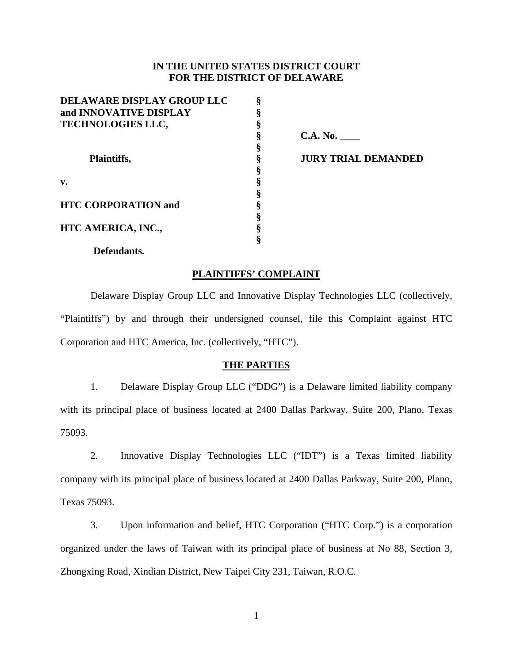# **IN THE UNITED STATES DISTRICT COURT FOR THE DISTRICT OF DELAWARE**

| <b>DELAWARE DISPLAY GROUP LLC</b> | ş |
|-----------------------------------|---|
| and INNOVATIVE DISPLAY            | ş |
| <b>TECHNOLOGIES LLC,</b>          | § |
|                                   | § |
|                                   | § |
| Plaintiffs,<br>v.                 | § |
|                                   | § |
|                                   | § |
|                                   | § |
| <b>HTC CORPORATION and</b>        | § |
|                                   | § |
| HTC AMERICA, INC.,                | § |
|                                   | ş |
|                                   |   |

**C.A. No. \_\_\_\_** 

**JURY TRIAL DEMANDED** 

#### **Defendants.**

#### **PLAINTIFFS' COMPLAINT**

Delaware Display Group LLC and Innovative Display Technologies LLC (collectively, "Plaintiffs") by and through their undersigned counsel, file this Complaint against HTC Corporation and HTC America, Inc. (collectively, "HTC").

## **THE PARTIES**

1. Delaware Display Group LLC ("DDG") is a Delaware limited liability company with its principal place of business located at 2400 Dallas Parkway, Suite 200, Plano, Texas 75093.

2. Innovative Display Technologies LLC ("IDT") is a Texas limited liability company with its principal place of business located at 2400 Dallas Parkway, Suite 200, Plano, Texas 75093.

3. Upon information and belief, HTC Corporation ("HTC Corp.") is a corporation organized under the laws of Taiwan with its principal place of business at No 88, Section 3, Zhongxing Road, Xindian District, New Taipei City 231, Taiwan, R.O.C.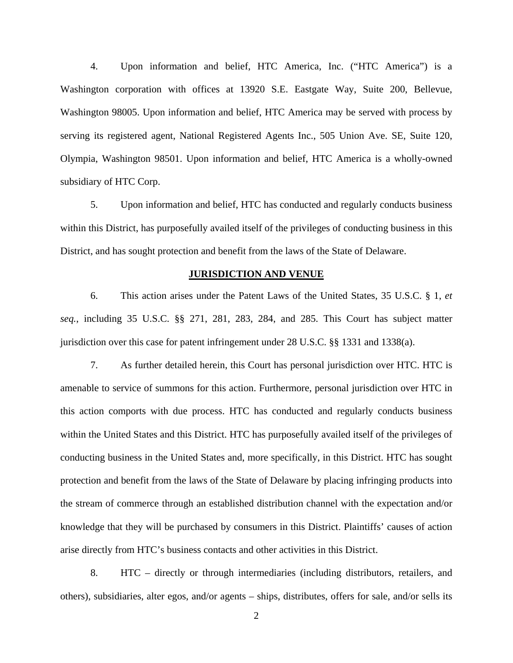4. Upon information and belief, HTC America, Inc. ("HTC America") is a Washington corporation with offices at 13920 S.E. Eastgate Way, Suite 200, Bellevue, Washington 98005. Upon information and belief, HTC America may be served with process by serving its registered agent, National Registered Agents Inc., 505 Union Ave. SE, Suite 120, Olympia, Washington 98501. Upon information and belief, HTC America is a wholly-owned subsidiary of HTC Corp.

5. Upon information and belief, HTC has conducted and regularly conducts business within this District, has purposefully availed itself of the privileges of conducting business in this District, and has sought protection and benefit from the laws of the State of Delaware.

# **JURISDICTION AND VENUE**

6. This action arises under the Patent Laws of the United States, 35 U.S.C. § 1, *et seq.*, including 35 U.S.C. §§ 271, 281, 283, 284, and 285. This Court has subject matter jurisdiction over this case for patent infringement under 28 U.S.C. §§ 1331 and 1338(a).

7. As further detailed herein, this Court has personal jurisdiction over HTC. HTC is amenable to service of summons for this action. Furthermore, personal jurisdiction over HTC in this action comports with due process. HTC has conducted and regularly conducts business within the United States and this District. HTC has purposefully availed itself of the privileges of conducting business in the United States and, more specifically, in this District. HTC has sought protection and benefit from the laws of the State of Delaware by placing infringing products into the stream of commerce through an established distribution channel with the expectation and/or knowledge that they will be purchased by consumers in this District. Plaintiffs' causes of action arise directly from HTC's business contacts and other activities in this District.

8. HTC – directly or through intermediaries (including distributors, retailers, and others), subsidiaries, alter egos, and/or agents – ships, distributes, offers for sale, and/or sells its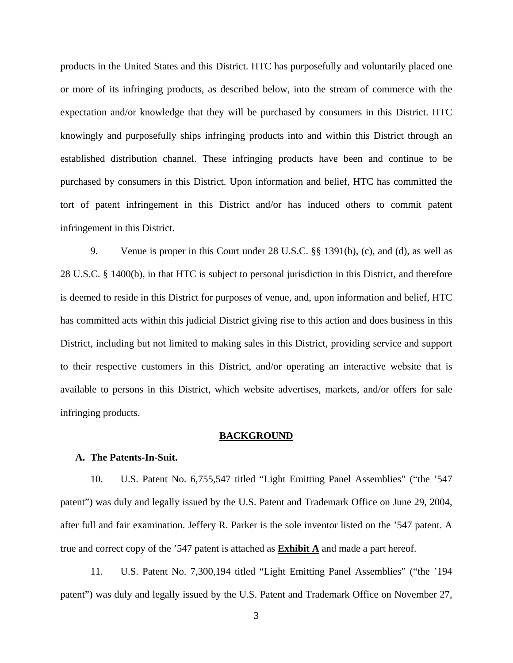products in the United States and this District. HTC has purposefully and voluntarily placed one or more of its infringing products, as described below, into the stream of commerce with the expectation and/or knowledge that they will be purchased by consumers in this District. HTC knowingly and purposefully ships infringing products into and within this District through an established distribution channel. These infringing products have been and continue to be purchased by consumers in this District. Upon information and belief, HTC has committed the tort of patent infringement in this District and/or has induced others to commit patent infringement in this District.

9. Venue is proper in this Court under 28 U.S.C. §§ 1391(b), (c), and (d), as well as 28 U.S.C. § 1400(b), in that HTC is subject to personal jurisdiction in this District, and therefore is deemed to reside in this District for purposes of venue, and, upon information and belief, HTC has committed acts within this judicial District giving rise to this action and does business in this District, including but not limited to making sales in this District, providing service and support to their respective customers in this District, and/or operating an interactive website that is available to persons in this District, which website advertises, markets, and/or offers for sale infringing products.

#### **BACKGROUND**

## **A. The Patents-In-Suit.**

10. U.S. Patent No. 6,755,547 titled "Light Emitting Panel Assemblies" ("the '547 patent") was duly and legally issued by the U.S. Patent and Trademark Office on June 29, 2004, after full and fair examination. Jeffery R. Parker is the sole inventor listed on the '547 patent. A true and correct copy of the '547 patent is attached as **Exhibit A** and made a part hereof.

11. U.S. Patent No. 7,300,194 titled "Light Emitting Panel Assemblies" ("the '194 patent") was duly and legally issued by the U.S. Patent and Trademark Office on November 27,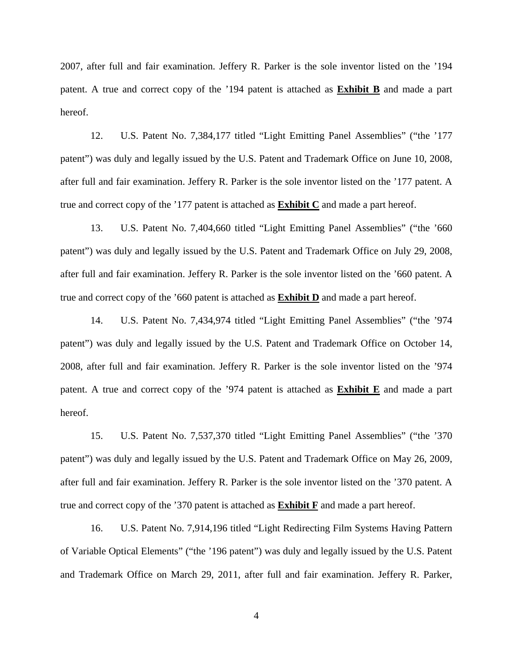2007, after full and fair examination. Jeffery R. Parker is the sole inventor listed on the '194 patent. A true and correct copy of the '194 patent is attached as **Exhibit B** and made a part hereof.

12. U.S. Patent No. 7,384,177 titled "Light Emitting Panel Assemblies" ("the '177 patent") was duly and legally issued by the U.S. Patent and Trademark Office on June 10, 2008, after full and fair examination. Jeffery R. Parker is the sole inventor listed on the '177 patent. A true and correct copy of the '177 patent is attached as **Exhibit C** and made a part hereof.

13. U.S. Patent No. 7,404,660 titled "Light Emitting Panel Assemblies" ("the '660 patent") was duly and legally issued by the U.S. Patent and Trademark Office on July 29, 2008, after full and fair examination. Jeffery R. Parker is the sole inventor listed on the '660 patent. A true and correct copy of the '660 patent is attached as **Exhibit D** and made a part hereof.

14. U.S. Patent No. 7,434,974 titled "Light Emitting Panel Assemblies" ("the '974 patent") was duly and legally issued by the U.S. Patent and Trademark Office on October 14, 2008, after full and fair examination. Jeffery R. Parker is the sole inventor listed on the '974 patent. A true and correct copy of the '974 patent is attached as **Exhibit E** and made a part hereof.

15. U.S. Patent No. 7,537,370 titled "Light Emitting Panel Assemblies" ("the '370 patent") was duly and legally issued by the U.S. Patent and Trademark Office on May 26, 2009, after full and fair examination. Jeffery R. Parker is the sole inventor listed on the '370 patent. A true and correct copy of the '370 patent is attached as **Exhibit F** and made a part hereof.

16. U.S. Patent No. 7,914,196 titled "Light Redirecting Film Systems Having Pattern of Variable Optical Elements" ("the '196 patent") was duly and legally issued by the U.S. Patent and Trademark Office on March 29, 2011, after full and fair examination. Jeffery R. Parker,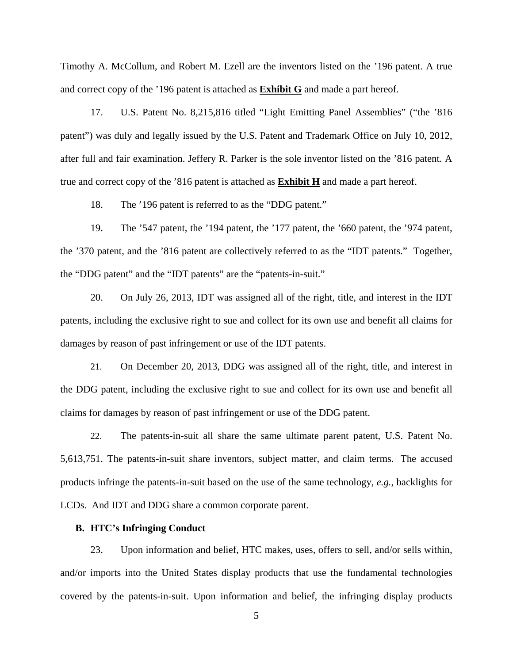Timothy A. McCollum, and Robert M. Ezell are the inventors listed on the '196 patent. A true and correct copy of the '196 patent is attached as **Exhibit G** and made a part hereof.

17. U.S. Patent No. 8,215,816 titled "Light Emitting Panel Assemblies" ("the '816 patent") was duly and legally issued by the U.S. Patent and Trademark Office on July 10, 2012, after full and fair examination. Jeffery R. Parker is the sole inventor listed on the '816 patent. A true and correct copy of the '816 patent is attached as **Exhibit H** and made a part hereof.

18. The '196 patent is referred to as the "DDG patent."

19. The '547 patent, the '194 patent, the '177 patent, the '660 patent, the '974 patent, the '370 patent, and the '816 patent are collectively referred to as the "IDT patents." Together, the "DDG patent" and the "IDT patents" are the "patents-in-suit."

20. On July 26, 2013, IDT was assigned all of the right, title, and interest in the IDT patents, including the exclusive right to sue and collect for its own use and benefit all claims for damages by reason of past infringement or use of the IDT patents.

21. On December 20, 2013, DDG was assigned all of the right, title, and interest in the DDG patent, including the exclusive right to sue and collect for its own use and benefit all claims for damages by reason of past infringement or use of the DDG patent.

22. The patents-in-suit all share the same ultimate parent patent, U.S. Patent No. 5,613,751. The patents-in-suit share inventors, subject matter, and claim terms. The accused products infringe the patents-in-suit based on the use of the same technology, *e.g.*, backlights for LCDs. And IDT and DDG share a common corporate parent.

## **B. HTC's Infringing Conduct**

23. Upon information and belief, HTC makes, uses, offers to sell, and/or sells within, and/or imports into the United States display products that use the fundamental technologies covered by the patents-in-suit. Upon information and belief, the infringing display products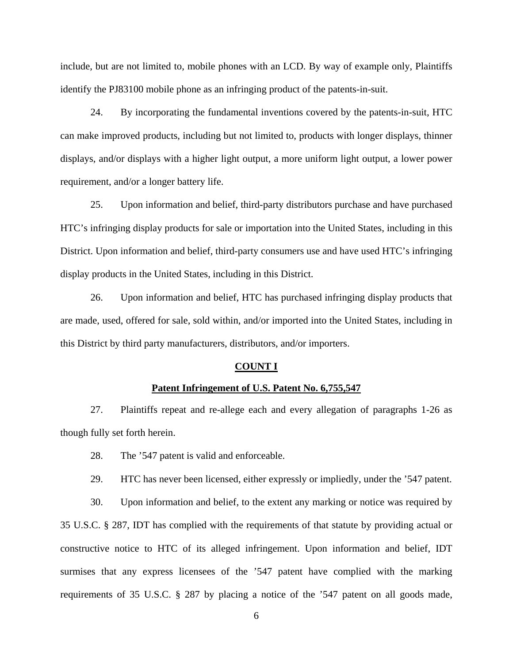include, but are not limited to, mobile phones with an LCD. By way of example only, Plaintiffs identify the PJ83100 mobile phone as an infringing product of the patents-in-suit.

24. By incorporating the fundamental inventions covered by the patents-in-suit, HTC can make improved products, including but not limited to, products with longer displays, thinner displays, and/or displays with a higher light output, a more uniform light output, a lower power requirement, and/or a longer battery life.

25. Upon information and belief, third-party distributors purchase and have purchased HTC's infringing display products for sale or importation into the United States, including in this District. Upon information and belief, third-party consumers use and have used HTC's infringing display products in the United States, including in this District.

26. Upon information and belief, HTC has purchased infringing display products that are made, used, offered for sale, sold within, and/or imported into the United States, including in this District by third party manufacturers, distributors, and/or importers.

#### **COUNT I**

# **Patent Infringement of U.S. Patent No. 6,755,547**

27. Plaintiffs repeat and re-allege each and every allegation of paragraphs 1-26 as though fully set forth herein.

28. The '547 patent is valid and enforceable.

29. HTC has never been licensed, either expressly or impliedly, under the '547 patent.

30. Upon information and belief, to the extent any marking or notice was required by 35 U.S.C. § 287, IDT has complied with the requirements of that statute by providing actual or constructive notice to HTC of its alleged infringement. Upon information and belief, IDT surmises that any express licensees of the '547 patent have complied with the marking requirements of 35 U.S.C. § 287 by placing a notice of the '547 patent on all goods made,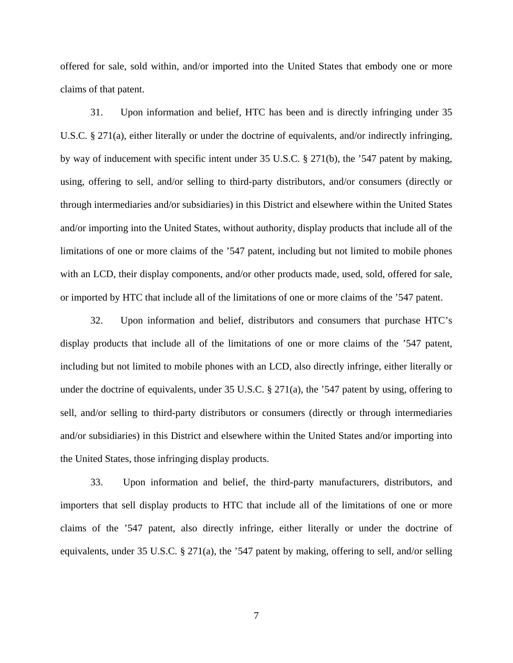offered for sale, sold within, and/or imported into the United States that embody one or more claims of that patent.

31. Upon information and belief, HTC has been and is directly infringing under 35 U.S.C. § 271(a), either literally or under the doctrine of equivalents, and/or indirectly infringing, by way of inducement with specific intent under 35 U.S.C. § 271(b), the '547 patent by making, using, offering to sell, and/or selling to third-party distributors, and/or consumers (directly or through intermediaries and/or subsidiaries) in this District and elsewhere within the United States and/or importing into the United States, without authority, display products that include all of the limitations of one or more claims of the '547 patent, including but not limited to mobile phones with an LCD, their display components, and/or other products made, used, sold, offered for sale, or imported by HTC that include all of the limitations of one or more claims of the '547 patent.

32. Upon information and belief, distributors and consumers that purchase HTC's display products that include all of the limitations of one or more claims of the '547 patent, including but not limited to mobile phones with an LCD, also directly infringe, either literally or under the doctrine of equivalents, under 35 U.S.C. § 271(a), the '547 patent by using, offering to sell, and/or selling to third-party distributors or consumers (directly or through intermediaries and/or subsidiaries) in this District and elsewhere within the United States and/or importing into the United States, those infringing display products.

33. Upon information and belief, the third-party manufacturers, distributors, and importers that sell display products to HTC that include all of the limitations of one or more claims of the '547 patent, also directly infringe, either literally or under the doctrine of equivalents, under 35 U.S.C. § 271(a), the '547 patent by making, offering to sell, and/or selling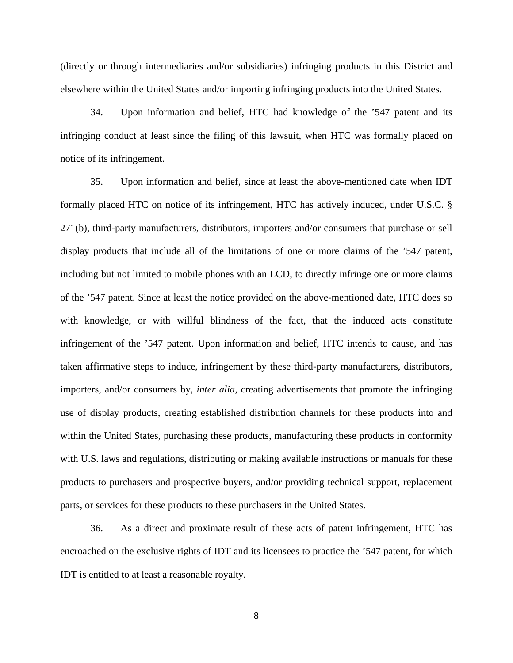(directly or through intermediaries and/or subsidiaries) infringing products in this District and elsewhere within the United States and/or importing infringing products into the United States.

34. Upon information and belief, HTC had knowledge of the '547 patent and its infringing conduct at least since the filing of this lawsuit, when HTC was formally placed on notice of its infringement.

35. Upon information and belief, since at least the above-mentioned date when IDT formally placed HTC on notice of its infringement, HTC has actively induced, under U.S.C. § 271(b), third-party manufacturers, distributors, importers and/or consumers that purchase or sell display products that include all of the limitations of one or more claims of the '547 patent, including but not limited to mobile phones with an LCD, to directly infringe one or more claims of the '547 patent. Since at least the notice provided on the above-mentioned date, HTC does so with knowledge, or with willful blindness of the fact, that the induced acts constitute infringement of the '547 patent. Upon information and belief, HTC intends to cause, and has taken affirmative steps to induce, infringement by these third-party manufacturers, distributors, importers, and/or consumers by, *inter alia*, creating advertisements that promote the infringing use of display products, creating established distribution channels for these products into and within the United States, purchasing these products, manufacturing these products in conformity with U.S. laws and regulations, distributing or making available instructions or manuals for these products to purchasers and prospective buyers, and/or providing technical support, replacement parts, or services for these products to these purchasers in the United States.

36. As a direct and proximate result of these acts of patent infringement, HTC has encroached on the exclusive rights of IDT and its licensees to practice the '547 patent, for which IDT is entitled to at least a reasonable royalty.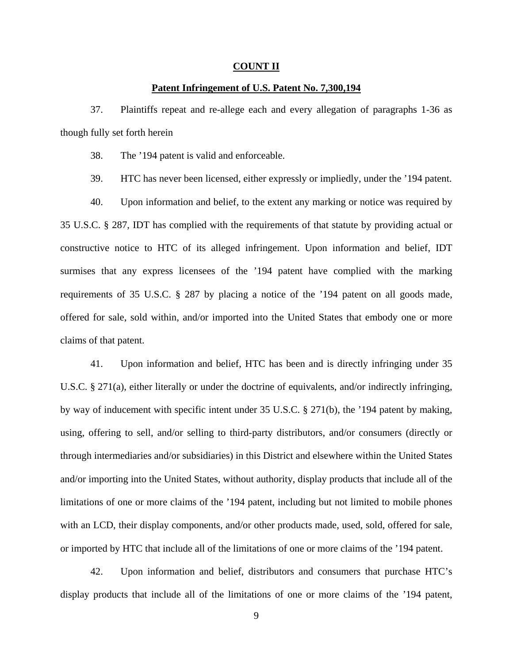#### **COUNT II**

## **Patent Infringement of U.S. Patent No. 7,300,194**

37. Plaintiffs repeat and re-allege each and every allegation of paragraphs 1-36 as though fully set forth herein

38. The '194 patent is valid and enforceable.

39. HTC has never been licensed, either expressly or impliedly, under the '194 patent.

40. Upon information and belief, to the extent any marking or notice was required by 35 U.S.C. § 287, IDT has complied with the requirements of that statute by providing actual or constructive notice to HTC of its alleged infringement. Upon information and belief, IDT surmises that any express licensees of the '194 patent have complied with the marking requirements of 35 U.S.C. § 287 by placing a notice of the '194 patent on all goods made, offered for sale, sold within, and/or imported into the United States that embody one or more claims of that patent.

41. Upon information and belief, HTC has been and is directly infringing under 35 U.S.C. § 271(a), either literally or under the doctrine of equivalents, and/or indirectly infringing, by way of inducement with specific intent under 35 U.S.C. § 271(b), the '194 patent by making, using, offering to sell, and/or selling to third-party distributors, and/or consumers (directly or through intermediaries and/or subsidiaries) in this District and elsewhere within the United States and/or importing into the United States, without authority, display products that include all of the limitations of one or more claims of the '194 patent, including but not limited to mobile phones with an LCD, their display components, and/or other products made, used, sold, offered for sale, or imported by HTC that include all of the limitations of one or more claims of the '194 patent.

42. Upon information and belief, distributors and consumers that purchase HTC's display products that include all of the limitations of one or more claims of the '194 patent,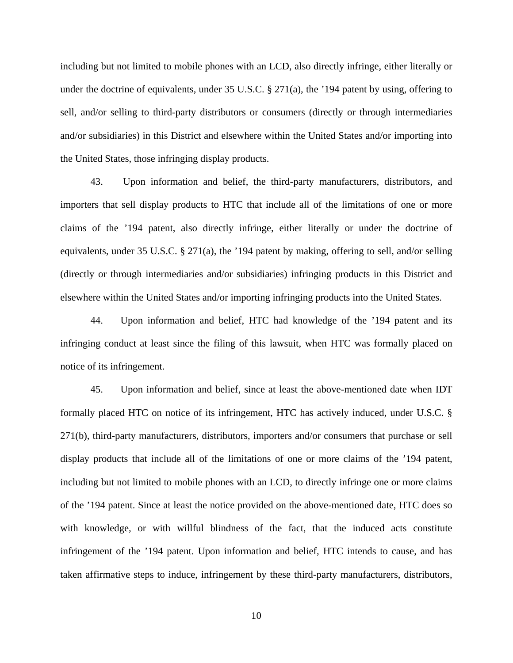including but not limited to mobile phones with an LCD, also directly infringe, either literally or under the doctrine of equivalents, under 35 U.S.C. § 271(a), the '194 patent by using, offering to sell, and/or selling to third-party distributors or consumers (directly or through intermediaries and/or subsidiaries) in this District and elsewhere within the United States and/or importing into the United States, those infringing display products.

43. Upon information and belief, the third-party manufacturers, distributors, and importers that sell display products to HTC that include all of the limitations of one or more claims of the '194 patent, also directly infringe, either literally or under the doctrine of equivalents, under 35 U.S.C. § 271(a), the '194 patent by making, offering to sell, and/or selling (directly or through intermediaries and/or subsidiaries) infringing products in this District and elsewhere within the United States and/or importing infringing products into the United States.

44. Upon information and belief, HTC had knowledge of the '194 patent and its infringing conduct at least since the filing of this lawsuit, when HTC was formally placed on notice of its infringement.

45. Upon information and belief, since at least the above-mentioned date when IDT formally placed HTC on notice of its infringement, HTC has actively induced, under U.S.C. § 271(b), third-party manufacturers, distributors, importers and/or consumers that purchase or sell display products that include all of the limitations of one or more claims of the '194 patent, including but not limited to mobile phones with an LCD, to directly infringe one or more claims of the '194 patent. Since at least the notice provided on the above-mentioned date, HTC does so with knowledge, or with willful blindness of the fact, that the induced acts constitute infringement of the '194 patent. Upon information and belief, HTC intends to cause, and has taken affirmative steps to induce, infringement by these third-party manufacturers, distributors,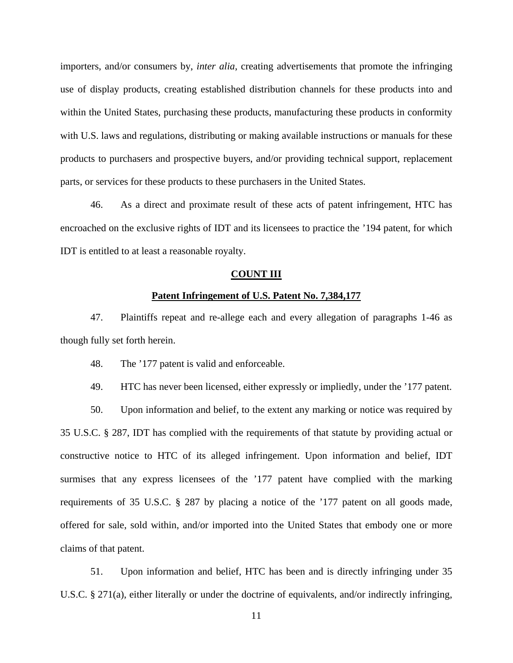importers, and/or consumers by, *inter alia*, creating advertisements that promote the infringing use of display products, creating established distribution channels for these products into and within the United States, purchasing these products, manufacturing these products in conformity with U.S. laws and regulations, distributing or making available instructions or manuals for these products to purchasers and prospective buyers, and/or providing technical support, replacement parts, or services for these products to these purchasers in the United States.

46. As a direct and proximate result of these acts of patent infringement, HTC has encroached on the exclusive rights of IDT and its licensees to practice the '194 patent, for which IDT is entitled to at least a reasonable royalty.

## **COUNT III**

# **Patent Infringement of U.S. Patent No. 7,384,177**

47. Plaintiffs repeat and re-allege each and every allegation of paragraphs 1-46 as though fully set forth herein.

48. The '177 patent is valid and enforceable.

49. HTC has never been licensed, either expressly or impliedly, under the '177 patent.

50. Upon information and belief, to the extent any marking or notice was required by 35 U.S.C. § 287, IDT has complied with the requirements of that statute by providing actual or constructive notice to HTC of its alleged infringement. Upon information and belief, IDT surmises that any express licensees of the '177 patent have complied with the marking requirements of 35 U.S.C. § 287 by placing a notice of the '177 patent on all goods made, offered for sale, sold within, and/or imported into the United States that embody one or more claims of that patent.

51. Upon information and belief, HTC has been and is directly infringing under 35 U.S.C. § 271(a), either literally or under the doctrine of equivalents, and/or indirectly infringing,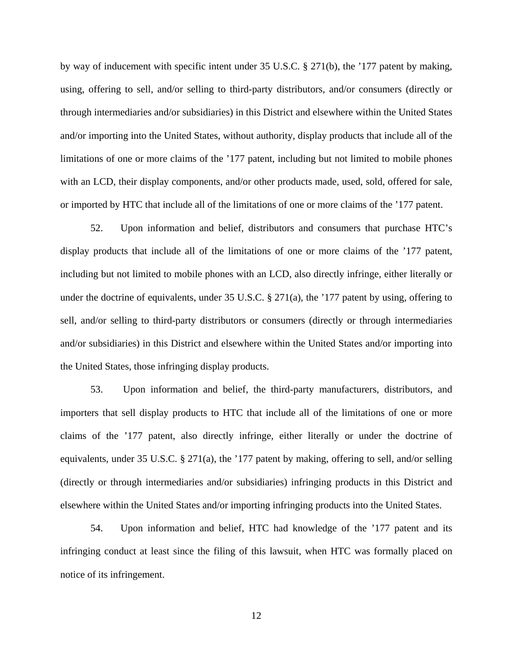by way of inducement with specific intent under 35 U.S.C. § 271(b), the '177 patent by making, using, offering to sell, and/or selling to third-party distributors, and/or consumers (directly or through intermediaries and/or subsidiaries) in this District and elsewhere within the United States and/or importing into the United States, without authority, display products that include all of the limitations of one or more claims of the '177 patent, including but not limited to mobile phones with an LCD, their display components, and/or other products made, used, sold, offered for sale, or imported by HTC that include all of the limitations of one or more claims of the '177 patent.

52. Upon information and belief, distributors and consumers that purchase HTC's display products that include all of the limitations of one or more claims of the '177 patent, including but not limited to mobile phones with an LCD, also directly infringe, either literally or under the doctrine of equivalents, under 35 U.S.C. § 271(a), the '177 patent by using, offering to sell, and/or selling to third-party distributors or consumers (directly or through intermediaries and/or subsidiaries) in this District and elsewhere within the United States and/or importing into the United States, those infringing display products.

53. Upon information and belief, the third-party manufacturers, distributors, and importers that sell display products to HTC that include all of the limitations of one or more claims of the '177 patent, also directly infringe, either literally or under the doctrine of equivalents, under 35 U.S.C. § 271(a), the '177 patent by making, offering to sell, and/or selling (directly or through intermediaries and/or subsidiaries) infringing products in this District and elsewhere within the United States and/or importing infringing products into the United States.

54. Upon information and belief, HTC had knowledge of the '177 patent and its infringing conduct at least since the filing of this lawsuit, when HTC was formally placed on notice of its infringement.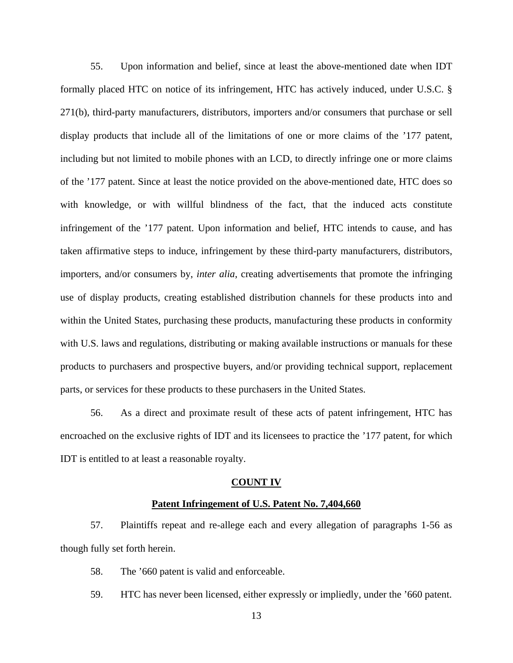55. Upon information and belief, since at least the above-mentioned date when IDT formally placed HTC on notice of its infringement, HTC has actively induced, under U.S.C. § 271(b), third-party manufacturers, distributors, importers and/or consumers that purchase or sell display products that include all of the limitations of one or more claims of the '177 patent, including but not limited to mobile phones with an LCD, to directly infringe one or more claims of the '177 patent. Since at least the notice provided on the above-mentioned date, HTC does so with knowledge, or with willful blindness of the fact, that the induced acts constitute infringement of the '177 patent. Upon information and belief, HTC intends to cause, and has taken affirmative steps to induce, infringement by these third-party manufacturers, distributors, importers, and/or consumers by, *inter alia*, creating advertisements that promote the infringing use of display products, creating established distribution channels for these products into and within the United States, purchasing these products, manufacturing these products in conformity with U.S. laws and regulations, distributing or making available instructions or manuals for these products to purchasers and prospective buyers, and/or providing technical support, replacement parts, or services for these products to these purchasers in the United States.

56. As a direct and proximate result of these acts of patent infringement, HTC has encroached on the exclusive rights of IDT and its licensees to practice the '177 patent, for which IDT is entitled to at least a reasonable royalty.

#### **COUNT IV**

## **Patent Infringement of U.S. Patent No. 7,404,660**

57. Plaintiffs repeat and re-allege each and every allegation of paragraphs 1-56 as though fully set forth herein.

- 58. The '660 patent is valid and enforceable.
- 59. HTC has never been licensed, either expressly or impliedly, under the '660 patent.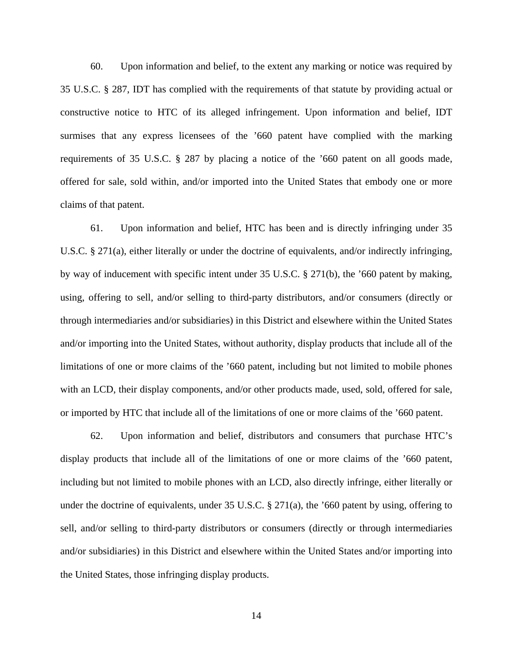60. Upon information and belief, to the extent any marking or notice was required by 35 U.S.C. § 287, IDT has complied with the requirements of that statute by providing actual or constructive notice to HTC of its alleged infringement. Upon information and belief, IDT surmises that any express licensees of the '660 patent have complied with the marking requirements of 35 U.S.C. § 287 by placing a notice of the '660 patent on all goods made, offered for sale, sold within, and/or imported into the United States that embody one or more claims of that patent.

61. Upon information and belief, HTC has been and is directly infringing under 35 U.S.C. § 271(a), either literally or under the doctrine of equivalents, and/or indirectly infringing, by way of inducement with specific intent under 35 U.S.C. § 271(b), the '660 patent by making, using, offering to sell, and/or selling to third-party distributors, and/or consumers (directly or through intermediaries and/or subsidiaries) in this District and elsewhere within the United States and/or importing into the United States, without authority, display products that include all of the limitations of one or more claims of the '660 patent, including but not limited to mobile phones with an LCD, their display components, and/or other products made, used, sold, offered for sale, or imported by HTC that include all of the limitations of one or more claims of the '660 patent.

62. Upon information and belief, distributors and consumers that purchase HTC's display products that include all of the limitations of one or more claims of the '660 patent, including but not limited to mobile phones with an LCD, also directly infringe, either literally or under the doctrine of equivalents, under 35 U.S.C. § 271(a), the '660 patent by using, offering to sell, and/or selling to third-party distributors or consumers (directly or through intermediaries and/or subsidiaries) in this District and elsewhere within the United States and/or importing into the United States, those infringing display products.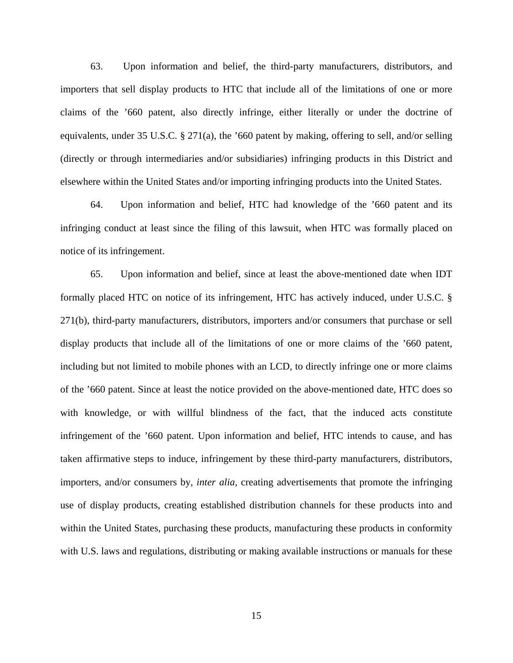63. Upon information and belief, the third-party manufacturers, distributors, and importers that sell display products to HTC that include all of the limitations of one or more claims of the '660 patent, also directly infringe, either literally or under the doctrine of equivalents, under 35 U.S.C. § 271(a), the '660 patent by making, offering to sell, and/or selling (directly or through intermediaries and/or subsidiaries) infringing products in this District and elsewhere within the United States and/or importing infringing products into the United States.

64. Upon information and belief, HTC had knowledge of the '660 patent and its infringing conduct at least since the filing of this lawsuit, when HTC was formally placed on notice of its infringement.

65. Upon information and belief, since at least the above-mentioned date when IDT formally placed HTC on notice of its infringement, HTC has actively induced, under U.S.C. § 271(b), third-party manufacturers, distributors, importers and/or consumers that purchase or sell display products that include all of the limitations of one or more claims of the '660 patent, including but not limited to mobile phones with an LCD, to directly infringe one or more claims of the '660 patent. Since at least the notice provided on the above-mentioned date, HTC does so with knowledge, or with willful blindness of the fact, that the induced acts constitute infringement of the '660 patent. Upon information and belief, HTC intends to cause, and has taken affirmative steps to induce, infringement by these third-party manufacturers, distributors, importers, and/or consumers by, *inter alia*, creating advertisements that promote the infringing use of display products, creating established distribution channels for these products into and within the United States, purchasing these products, manufacturing these products in conformity with U.S. laws and regulations, distributing or making available instructions or manuals for these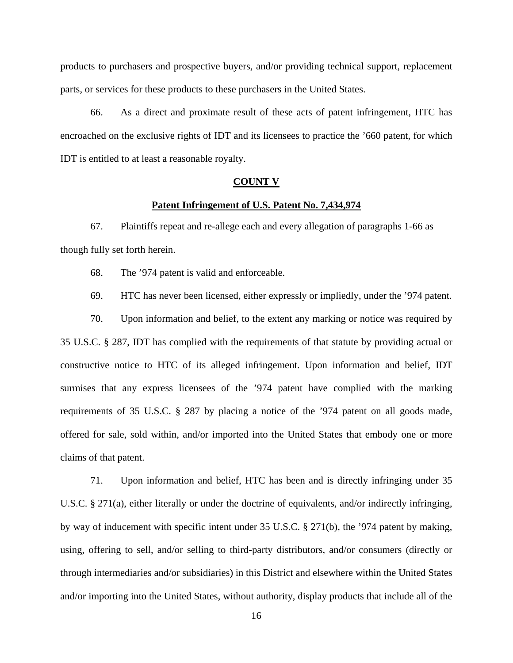products to purchasers and prospective buyers, and/or providing technical support, replacement parts, or services for these products to these purchasers in the United States.

66. As a direct and proximate result of these acts of patent infringement, HTC has encroached on the exclusive rights of IDT and its licensees to practice the '660 patent, for which IDT is entitled to at least a reasonable royalty.

#### **COUNT V**

## **Patent Infringement of U.S. Patent No. 7,434,974**

67. Plaintiffs repeat and re-allege each and every allegation of paragraphs 1-66 as though fully set forth herein.

68. The '974 patent is valid and enforceable.

69. HTC has never been licensed, either expressly or impliedly, under the '974 patent.

70. Upon information and belief, to the extent any marking or notice was required by 35 U.S.C. § 287, IDT has complied with the requirements of that statute by providing actual or constructive notice to HTC of its alleged infringement. Upon information and belief, IDT surmises that any express licensees of the '974 patent have complied with the marking requirements of 35 U.S.C. § 287 by placing a notice of the '974 patent on all goods made, offered for sale, sold within, and/or imported into the United States that embody one or more claims of that patent.

71. Upon information and belief, HTC has been and is directly infringing under 35 U.S.C. § 271(a), either literally or under the doctrine of equivalents, and/or indirectly infringing, by way of inducement with specific intent under 35 U.S.C. § 271(b), the '974 patent by making, using, offering to sell, and/or selling to third-party distributors, and/or consumers (directly or through intermediaries and/or subsidiaries) in this District and elsewhere within the United States and/or importing into the United States, without authority, display products that include all of the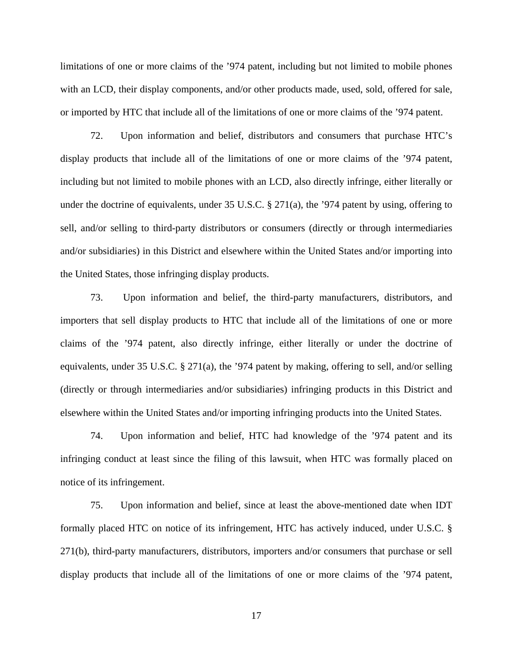limitations of one or more claims of the '974 patent, including but not limited to mobile phones with an LCD, their display components, and/or other products made, used, sold, offered for sale, or imported by HTC that include all of the limitations of one or more claims of the '974 patent.

72. Upon information and belief, distributors and consumers that purchase HTC's display products that include all of the limitations of one or more claims of the '974 patent, including but not limited to mobile phones with an LCD, also directly infringe, either literally or under the doctrine of equivalents, under 35 U.S.C.  $\S 271(a)$ , the '974 patent by using, offering to sell, and/or selling to third-party distributors or consumers (directly or through intermediaries and/or subsidiaries) in this District and elsewhere within the United States and/or importing into the United States, those infringing display products.

73. Upon information and belief, the third-party manufacturers, distributors, and importers that sell display products to HTC that include all of the limitations of one or more claims of the '974 patent, also directly infringe, either literally or under the doctrine of equivalents, under 35 U.S.C. § 271(a), the '974 patent by making, offering to sell, and/or selling (directly or through intermediaries and/or subsidiaries) infringing products in this District and elsewhere within the United States and/or importing infringing products into the United States.

74. Upon information and belief, HTC had knowledge of the '974 patent and its infringing conduct at least since the filing of this lawsuit, when HTC was formally placed on notice of its infringement.

75. Upon information and belief, since at least the above-mentioned date when IDT formally placed HTC on notice of its infringement, HTC has actively induced, under U.S.C. § 271(b), third-party manufacturers, distributors, importers and/or consumers that purchase or sell display products that include all of the limitations of one or more claims of the '974 patent,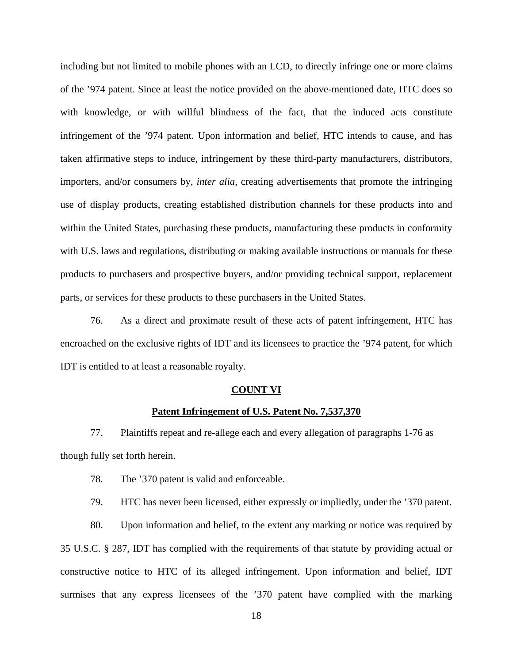including but not limited to mobile phones with an LCD, to directly infringe one or more claims of the '974 patent. Since at least the notice provided on the above-mentioned date, HTC does so with knowledge, or with willful blindness of the fact, that the induced acts constitute infringement of the '974 patent. Upon information and belief, HTC intends to cause, and has taken affirmative steps to induce, infringement by these third-party manufacturers, distributors, importers, and/or consumers by, *inter alia*, creating advertisements that promote the infringing use of display products, creating established distribution channels for these products into and within the United States, purchasing these products, manufacturing these products in conformity with U.S. laws and regulations, distributing or making available instructions or manuals for these products to purchasers and prospective buyers, and/or providing technical support, replacement parts, or services for these products to these purchasers in the United States.

76. As a direct and proximate result of these acts of patent infringement, HTC has encroached on the exclusive rights of IDT and its licensees to practice the '974 patent, for which IDT is entitled to at least a reasonable royalty.

#### **COUNT VI**

#### **Patent Infringement of U.S. Patent No. 7,537,370**

77. Plaintiffs repeat and re-allege each and every allegation of paragraphs 1-76 as though fully set forth herein.

78. The '370 patent is valid and enforceable.

79. HTC has never been licensed, either expressly or impliedly, under the '370 patent.

80. Upon information and belief, to the extent any marking or notice was required by 35 U.S.C. § 287, IDT has complied with the requirements of that statute by providing actual or constructive notice to HTC of its alleged infringement. Upon information and belief, IDT surmises that any express licensees of the '370 patent have complied with the marking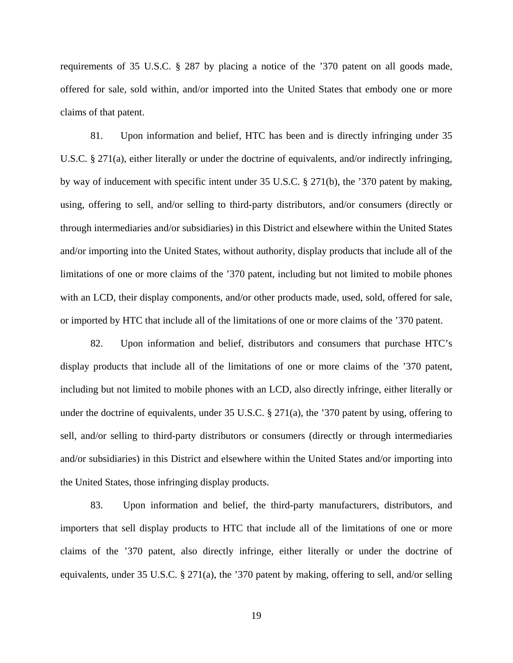requirements of 35 U.S.C. § 287 by placing a notice of the '370 patent on all goods made, offered for sale, sold within, and/or imported into the United States that embody one or more claims of that patent.

81. Upon information and belief, HTC has been and is directly infringing under 35 U.S.C. § 271(a), either literally or under the doctrine of equivalents, and/or indirectly infringing, by way of inducement with specific intent under 35 U.S.C. § 271(b), the '370 patent by making, using, offering to sell, and/or selling to third-party distributors, and/or consumers (directly or through intermediaries and/or subsidiaries) in this District and elsewhere within the United States and/or importing into the United States, without authority, display products that include all of the limitations of one or more claims of the '370 patent, including but not limited to mobile phones with an LCD, their display components, and/or other products made, used, sold, offered for sale, or imported by HTC that include all of the limitations of one or more claims of the '370 patent.

82. Upon information and belief, distributors and consumers that purchase HTC's display products that include all of the limitations of one or more claims of the '370 patent, including but not limited to mobile phones with an LCD, also directly infringe, either literally or under the doctrine of equivalents, under 35 U.S.C. § 271(a), the '370 patent by using, offering to sell, and/or selling to third-party distributors or consumers (directly or through intermediaries and/or subsidiaries) in this District and elsewhere within the United States and/or importing into the United States, those infringing display products.

83. Upon information and belief, the third-party manufacturers, distributors, and importers that sell display products to HTC that include all of the limitations of one or more claims of the '370 patent, also directly infringe, either literally or under the doctrine of equivalents, under 35 U.S.C. § 271(a), the '370 patent by making, offering to sell, and/or selling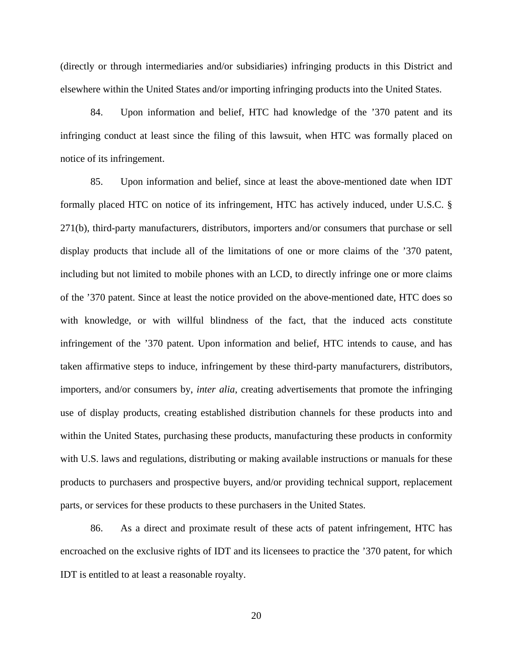(directly or through intermediaries and/or subsidiaries) infringing products in this District and elsewhere within the United States and/or importing infringing products into the United States.

84. Upon information and belief, HTC had knowledge of the '370 patent and its infringing conduct at least since the filing of this lawsuit, when HTC was formally placed on notice of its infringement.

85. Upon information and belief, since at least the above-mentioned date when IDT formally placed HTC on notice of its infringement, HTC has actively induced, under U.S.C. § 271(b), third-party manufacturers, distributors, importers and/or consumers that purchase or sell display products that include all of the limitations of one or more claims of the '370 patent, including but not limited to mobile phones with an LCD, to directly infringe one or more claims of the '370 patent. Since at least the notice provided on the above-mentioned date, HTC does so with knowledge, or with willful blindness of the fact, that the induced acts constitute infringement of the '370 patent. Upon information and belief, HTC intends to cause, and has taken affirmative steps to induce, infringement by these third-party manufacturers, distributors, importers, and/or consumers by, *inter alia*, creating advertisements that promote the infringing use of display products, creating established distribution channels for these products into and within the United States, purchasing these products, manufacturing these products in conformity with U.S. laws and regulations, distributing or making available instructions or manuals for these products to purchasers and prospective buyers, and/or providing technical support, replacement parts, or services for these products to these purchasers in the United States.

86. As a direct and proximate result of these acts of patent infringement, HTC has encroached on the exclusive rights of IDT and its licensees to practice the '370 patent, for which IDT is entitled to at least a reasonable royalty.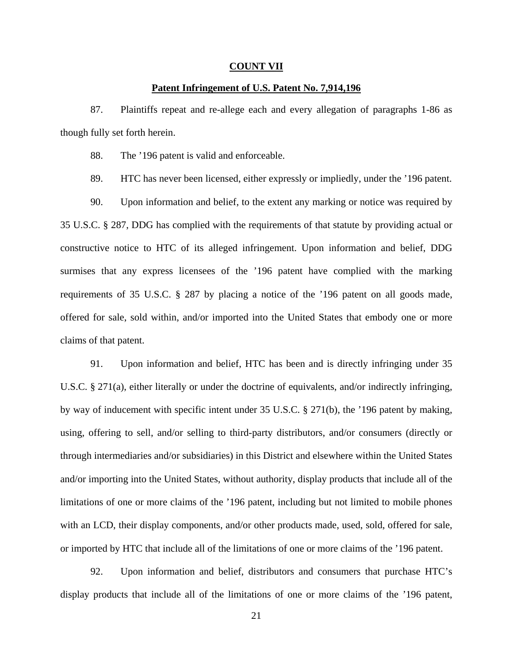## **COUNT VII**

# **Patent Infringement of U.S. Patent No. 7,914,196**

87. Plaintiffs repeat and re-allege each and every allegation of paragraphs 1-86 as though fully set forth herein.

88. The '196 patent is valid and enforceable.

89. HTC has never been licensed, either expressly or impliedly, under the '196 patent.

90. Upon information and belief, to the extent any marking or notice was required by 35 U.S.C. § 287, DDG has complied with the requirements of that statute by providing actual or constructive notice to HTC of its alleged infringement. Upon information and belief, DDG surmises that any express licensees of the '196 patent have complied with the marking requirements of 35 U.S.C. § 287 by placing a notice of the '196 patent on all goods made, offered for sale, sold within, and/or imported into the United States that embody one or more claims of that patent.

91. Upon information and belief, HTC has been and is directly infringing under 35 U.S.C. § 271(a), either literally or under the doctrine of equivalents, and/or indirectly infringing, by way of inducement with specific intent under 35 U.S.C. § 271(b), the '196 patent by making, using, offering to sell, and/or selling to third-party distributors, and/or consumers (directly or through intermediaries and/or subsidiaries) in this District and elsewhere within the United States and/or importing into the United States, without authority, display products that include all of the limitations of one or more claims of the '196 patent, including but not limited to mobile phones with an LCD, their display components, and/or other products made, used, sold, offered for sale, or imported by HTC that include all of the limitations of one or more claims of the '196 patent.

92. Upon information and belief, distributors and consumers that purchase HTC's display products that include all of the limitations of one or more claims of the '196 patent,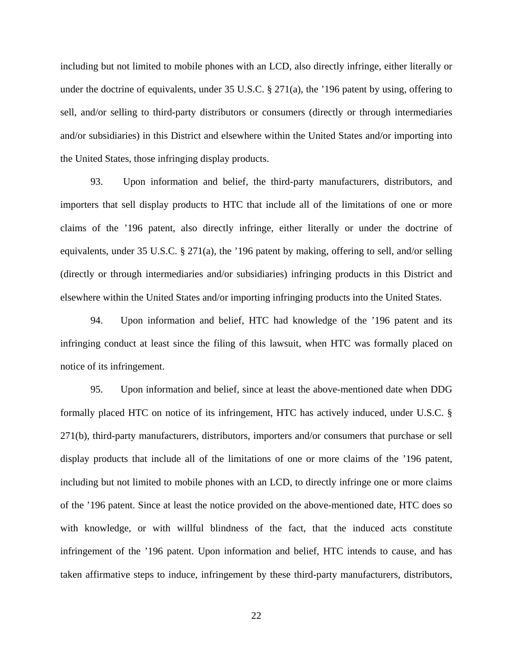including but not limited to mobile phones with an LCD, also directly infringe, either literally or under the doctrine of equivalents, under 35 U.S.C. § 271(a), the '196 patent by using, offering to sell, and/or selling to third-party distributors or consumers (directly or through intermediaries and/or subsidiaries) in this District and elsewhere within the United States and/or importing into the United States, those infringing display products.

93. Upon information and belief, the third-party manufacturers, distributors, and importers that sell display products to HTC that include all of the limitations of one or more claims of the '196 patent, also directly infringe, either literally or under the doctrine of equivalents, under 35 U.S.C. § 271(a), the '196 patent by making, offering to sell, and/or selling (directly or through intermediaries and/or subsidiaries) infringing products in this District and elsewhere within the United States and/or importing infringing products into the United States.

94. Upon information and belief, HTC had knowledge of the '196 patent and its infringing conduct at least since the filing of this lawsuit, when HTC was formally placed on notice of its infringement.

95. Upon information and belief, since at least the above-mentioned date when DDG formally placed HTC on notice of its infringement, HTC has actively induced, under U.S.C. § 271(b), third-party manufacturers, distributors, importers and/or consumers that purchase or sell display products that include all of the limitations of one or more claims of the '196 patent, including but not limited to mobile phones with an LCD, to directly infringe one or more claims of the '196 patent. Since at least the notice provided on the above-mentioned date, HTC does so with knowledge, or with willful blindness of the fact, that the induced acts constitute infringement of the '196 patent. Upon information and belief, HTC intends to cause, and has taken affirmative steps to induce, infringement by these third-party manufacturers, distributors,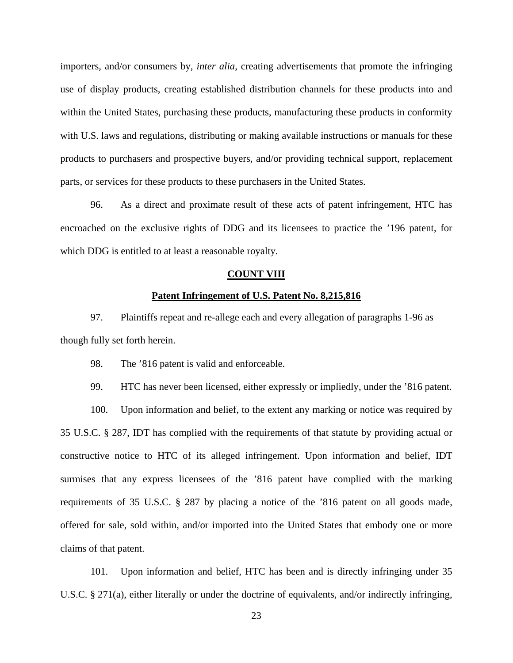importers, and/or consumers by, *inter alia*, creating advertisements that promote the infringing use of display products, creating established distribution channels for these products into and within the United States, purchasing these products, manufacturing these products in conformity with U.S. laws and regulations, distributing or making available instructions or manuals for these products to purchasers and prospective buyers, and/or providing technical support, replacement parts, or services for these products to these purchasers in the United States.

96. As a direct and proximate result of these acts of patent infringement, HTC has encroached on the exclusive rights of DDG and its licensees to practice the '196 patent, for which DDG is entitled to at least a reasonable royalty.

## **COUNT VIII**

## **Patent Infringement of U.S. Patent No. 8,215,816**

97. Plaintiffs repeat and re-allege each and every allegation of paragraphs 1-96 as though fully set forth herein.

98. The '816 patent is valid and enforceable.

99. HTC has never been licensed, either expressly or impliedly, under the '816 patent.

100. Upon information and belief, to the extent any marking or notice was required by 35 U.S.C. § 287, IDT has complied with the requirements of that statute by providing actual or constructive notice to HTC of its alleged infringement. Upon information and belief, IDT surmises that any express licensees of the '816 patent have complied with the marking requirements of 35 U.S.C. § 287 by placing a notice of the '816 patent on all goods made, offered for sale, sold within, and/or imported into the United States that embody one or more claims of that patent.

101. Upon information and belief, HTC has been and is directly infringing under 35 U.S.C. § 271(a), either literally or under the doctrine of equivalents, and/or indirectly infringing,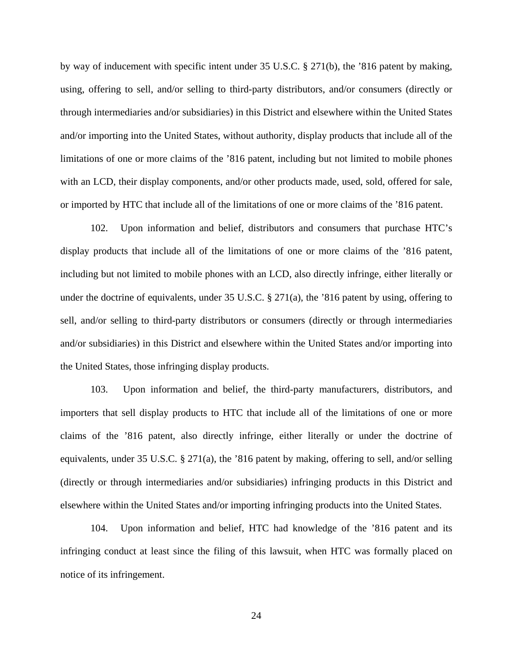by way of inducement with specific intent under 35 U.S.C. § 271(b), the '816 patent by making, using, offering to sell, and/or selling to third-party distributors, and/or consumers (directly or through intermediaries and/or subsidiaries) in this District and elsewhere within the United States and/or importing into the United States, without authority, display products that include all of the limitations of one or more claims of the '816 patent, including but not limited to mobile phones with an LCD, their display components, and/or other products made, used, sold, offered for sale, or imported by HTC that include all of the limitations of one or more claims of the '816 patent.

102. Upon information and belief, distributors and consumers that purchase HTC's display products that include all of the limitations of one or more claims of the '816 patent, including but not limited to mobile phones with an LCD, also directly infringe, either literally or under the doctrine of equivalents, under 35 U.S.C. § 271(a), the '816 patent by using, offering to sell, and/or selling to third-party distributors or consumers (directly or through intermediaries and/or subsidiaries) in this District and elsewhere within the United States and/or importing into the United States, those infringing display products.

103. Upon information and belief, the third-party manufacturers, distributors, and importers that sell display products to HTC that include all of the limitations of one or more claims of the '816 patent, also directly infringe, either literally or under the doctrine of equivalents, under 35 U.S.C. § 271(a), the '816 patent by making, offering to sell, and/or selling (directly or through intermediaries and/or subsidiaries) infringing products in this District and elsewhere within the United States and/or importing infringing products into the United States.

104. Upon information and belief, HTC had knowledge of the '816 patent and its infringing conduct at least since the filing of this lawsuit, when HTC was formally placed on notice of its infringement.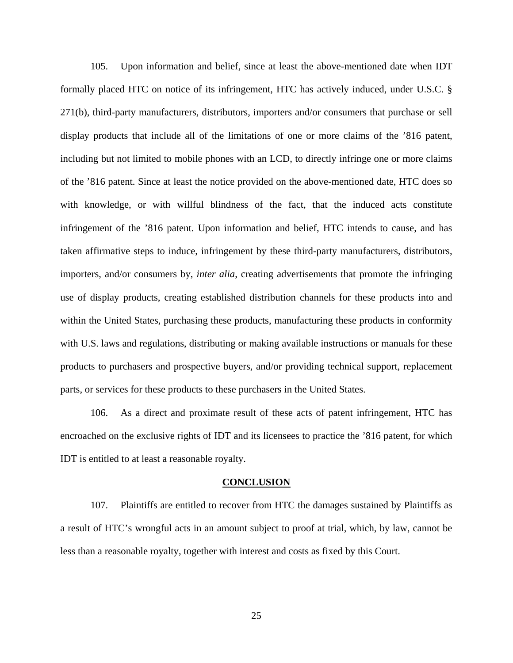105. Upon information and belief, since at least the above-mentioned date when IDT formally placed HTC on notice of its infringement, HTC has actively induced, under U.S.C. § 271(b), third-party manufacturers, distributors, importers and/or consumers that purchase or sell display products that include all of the limitations of one or more claims of the '816 patent, including but not limited to mobile phones with an LCD, to directly infringe one or more claims of the '816 patent. Since at least the notice provided on the above-mentioned date, HTC does so with knowledge, or with willful blindness of the fact, that the induced acts constitute infringement of the '816 patent. Upon information and belief, HTC intends to cause, and has taken affirmative steps to induce, infringement by these third-party manufacturers, distributors, importers, and/or consumers by, *inter alia*, creating advertisements that promote the infringing use of display products, creating established distribution channels for these products into and within the United States, purchasing these products, manufacturing these products in conformity with U.S. laws and regulations, distributing or making available instructions or manuals for these products to purchasers and prospective buyers, and/or providing technical support, replacement parts, or services for these products to these purchasers in the United States.

106. As a direct and proximate result of these acts of patent infringement, HTC has encroached on the exclusive rights of IDT and its licensees to practice the '816 patent, for which IDT is entitled to at least a reasonable royalty.

#### **CONCLUSION**

107. Plaintiffs are entitled to recover from HTC the damages sustained by Plaintiffs as a result of HTC's wrongful acts in an amount subject to proof at trial, which, by law, cannot be less than a reasonable royalty, together with interest and costs as fixed by this Court.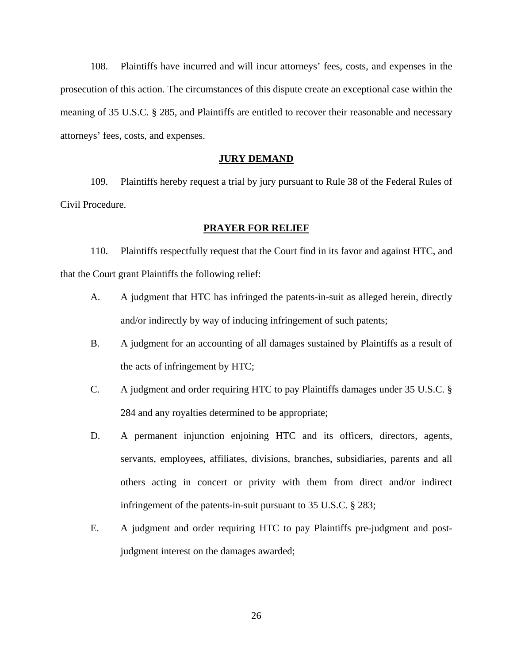108. Plaintiffs have incurred and will incur attorneys' fees, costs, and expenses in the prosecution of this action. The circumstances of this dispute create an exceptional case within the meaning of 35 U.S.C. § 285, and Plaintiffs are entitled to recover their reasonable and necessary attorneys' fees, costs, and expenses.

## **JURY DEMAND**

109. Plaintiffs hereby request a trial by jury pursuant to Rule 38 of the Federal Rules of Civil Procedure.

## **PRAYER FOR RELIEF**

110. Plaintiffs respectfully request that the Court find in its favor and against HTC, and that the Court grant Plaintiffs the following relief:

- A. A judgment that HTC has infringed the patents-in-suit as alleged herein, directly and/or indirectly by way of inducing infringement of such patents;
- B. A judgment for an accounting of all damages sustained by Plaintiffs as a result of the acts of infringement by HTC;
- C. A judgment and order requiring HTC to pay Plaintiffs damages under 35 U.S.C. § 284 and any royalties determined to be appropriate;
- D. A permanent injunction enjoining HTC and its officers, directors, agents, servants, employees, affiliates, divisions, branches, subsidiaries, parents and all others acting in concert or privity with them from direct and/or indirect infringement of the patents-in-suit pursuant to 35 U.S.C. § 283;
- E. A judgment and order requiring HTC to pay Plaintiffs pre-judgment and postjudgment interest on the damages awarded;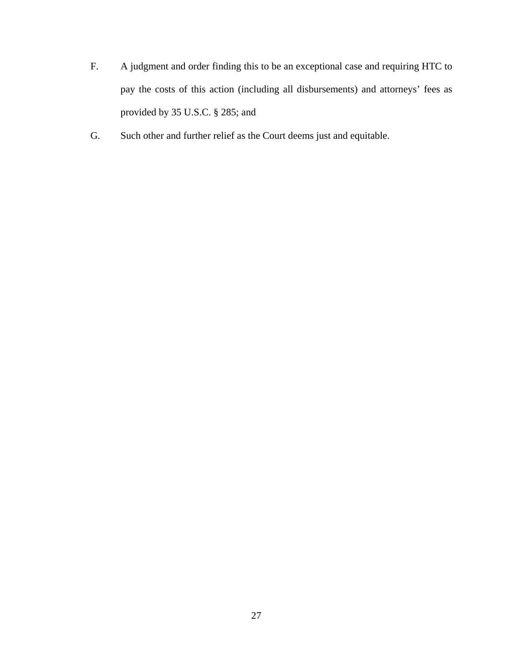- F. A judgment and order finding this to be an exceptional case and requiring HTC to pay the costs of this action (including all disbursements) and attorneys' fees as provided by 35 U.S.C. § 285; and
- G. Such other and further relief as the Court deems just and equitable.